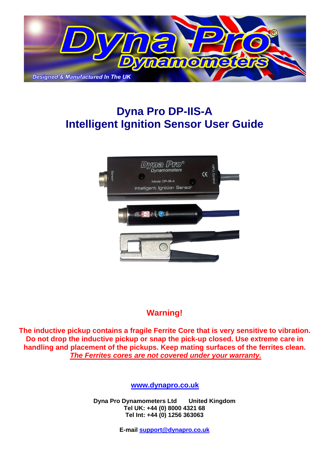

# **Dyna Pro DP-IIS-A Intelligent Ignition Sensor User Guide**



## **Warning!**

**The inductive pickup contains a fragile Ferrite Core that is very sensitive to vibration. Do not drop the inductive pickup or snap the pick-up closed. Use extreme care in handling and placement of the pickups. Keep mating surfaces of the ferrites clean.**  *The Ferrites cores are not covered under your warranty.*

**[www.dynapro.co.uk](http://www.dynapro.co.uk)**

**Dyna Pro Dynamometers Ltd United Kingdom Tel UK: +44 (0) 8000 4321 68 Tel Int: +44 (0) 1256 363063** 

**E-mail [support@dynapro.co.uk](mailto:support@dynapro.co.uk)**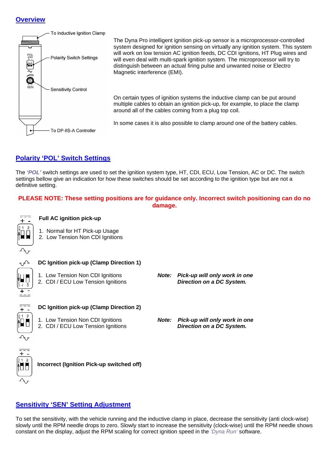#### **Overview**



The Dyna Pro intelligent ignition pick-up sensor is a microprocessor-controlled system designed for ignition sensing on virtually any ignition system. This system will work on low tension AC ignition feeds, DC CDI ignitions, HT Plug wires and will even deal with multi-spark ignition system. The microprocessor will try to distinguish between an actual firing pulse and unwanted noise or Electro Magnetic interference (EMI).

On certain types of ignition systems the inductive clamp can be put around multiple cables to obtain an ignition pick-up, for example, to place the clamp around all of the cables coming from a plug top coil.

In some cases it is also possible to clamp around one of the battery cables.

### **Polarity 'POL' Switch Settings**

The *'POL'* switch settings are used to set the ignition system type, HT, CDI, ECU, Low Tension, AC or DC. The switch settings bellow give an indication for how these switches should be set according to the ignition type but are not a definitive setting.

#### **PLEASE NOTE: These setting positions are for guidance only. Incorrect switch positioning can do no damage.**



#### **Full AC ignition pick-up**

- 1. Normal for HT Pick-up Usage
- 2. Low Tension Non CDI Ignitions



#### **DC Ignition pick-up (Clamp Direction 1)**

- 
- 1. Low Tension Non CDI Ignitions *Note: Pick-up will only work in one* 2. CDI / ECU Low Tension Ignitions *Direction on a DC System.*



 $\overline{\mathbf{t}}$ 

#### **DC Ignition pick-up (Clamp Direction 2)**

- 
- 1. Low Tension Non CDI Ignitions *Note: Pick-up will only work in one* 2. CDI / ECU Low Tension Ignitions *Direction on a DC System.*



#### **Incorrect (Ignition Pick-up switched off)**

### **Sensitivity 'SEN' Setting Adjustment**

To set the sensitivity, with the vehicle running and the inductive clamp in place, decrease the sensitivity (anti clock-wise) slowly until the RPM needle drops to zero. Slowly start to increase the sensitivity (clock-wise) until the RPM needle shows constant on the display, adjust the RPM scaling for correct ignition speed in the *'Dyna Run'* software.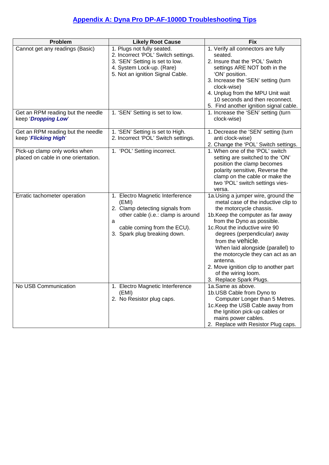## **Appendix A: Dyna Pro DP-AF-1000D Troubleshooting Tips**

| Problem                             | <b>Likely Root Cause</b>                                     | <b>Fix</b>                                                        |
|-------------------------------------|--------------------------------------------------------------|-------------------------------------------------------------------|
| Cannot get any readings (Basic)     | 1. Plugs not fully seated.                                   | 1. Verify all connectors are fully                                |
|                                     | 2. Incorrect 'POL' Switch settings.                          | seated.                                                           |
|                                     | 3. 'SEN' Setting is set to low.<br>4. System Lock-up. (Rare) | 2. Insure that the 'POL' Switch<br>settings ARE NOT both in the   |
|                                     | 5. Not an ignition Signal Cable.                             | 'ON' position.                                                    |
|                                     |                                                              | 3. Increase the 'SEN' setting (turn                               |
|                                     |                                                              | clock-wise)                                                       |
|                                     |                                                              | 4. Unplug from the MPU Unit wait                                  |
|                                     |                                                              | 10 seconds and then reconnect.                                    |
|                                     |                                                              | 5. Find another ignition signal cable.                            |
| Get an RPM reading but the needle   | 1. 'SEN' Setting is set to low.                              | 1. Increase the 'SEN' setting (turn                               |
| keep 'Dropping Low'                 |                                                              | clock-wise)                                                       |
| Get an RPM reading but the needle   | 1. 'SEN' Setting is set to High.                             | 1. Decrease the 'SEN' setting (turn                               |
| keep 'Flicking High'                | 2. Incorrect 'POL' Switch settings.                          | anti clock-wise)                                                  |
|                                     |                                                              | 2. Change the 'POL' Switch settings.                              |
| Pick-up clamp only works when       | 1. 'POL' Setting incorrect.                                  | 1. When one of the 'POL' switch                                   |
| placed on cable in one orientation. |                                                              | setting are switched to the 'ON'                                  |
|                                     |                                                              | position the clamp becomes                                        |
|                                     |                                                              | polarity sensitive, Reverse the<br>clamp on the cable or make the |
|                                     |                                                              | two 'POL' switch settings vies-                                   |
|                                     |                                                              | versa.                                                            |
| Erratic tachometer operation        | 1. Electro Magnetic Interference                             | 1a. Using a jumper wire, ground the                               |
|                                     | (EMI)                                                        | metal case of the inductive clip to                               |
|                                     | 2. Clamp detecting signals from                              | the motorcycle chassis.                                           |
|                                     | other cable (i.e.: clamp is around                           | 1b. Keep the computer as far away                                 |
|                                     | a<br>cable coming from the ECU).                             | from the Dyno as possible.<br>1c. Rout the inductive wire 90      |
|                                     | 3. Spark plug breaking down.                                 | degrees (perpendicular) away                                      |
|                                     |                                                              | from the vehicle.                                                 |
|                                     |                                                              | When laid alongside (parallel) to                                 |
|                                     |                                                              | the motorcycle they can act as an                                 |
|                                     |                                                              | antenna.                                                          |
|                                     |                                                              | 2. Move ignition clip to another part                             |
|                                     |                                                              | of the wiring loom.                                               |
|                                     |                                                              | 3. Replace Spark Plugs.                                           |
| No USB Communication                | 1. Electro Magnetic Interference<br>(EMI)                    | 1a.Same as above.<br>1b.USB Cable from Dyno to                    |
|                                     | 2. No Resistor plug caps.                                    | Computer Longer than 5 Metres.                                    |
|                                     |                                                              | 1c. Keep the USB Cable away from                                  |
|                                     |                                                              | the Ignition pick-up cables or                                    |
|                                     |                                                              | mains power cables.                                               |
|                                     |                                                              | 2. Replace with Resistor Plug caps.                               |